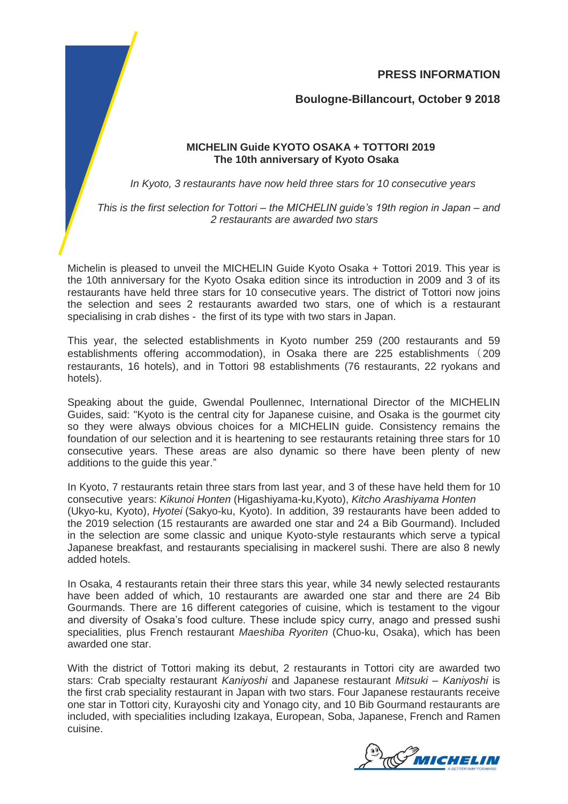**PRESS INFORMATION**

**Boulogne-Billancourt, October 9 2018**

## **MICHELIN Guide KYOTO OSAKA + TOTTORI 2019 The 10th anniversary of Kyoto Osaka**

*In Kyoto, 3 restaurants have now held three stars for 10 consecutive years*

*This is the first selection for Tottori – the MICHELIN guide's 19th region in Japan – and 2 restaurants are awarded two stars*

Michelin is pleased to unveil the MICHELIN Guide Kyoto Osaka + Tottori 2019. This year is the 10th anniversary for the Kyoto Osaka edition since its introduction in 2009 and 3 of its restaurants have held three stars for 10 consecutive years. The district of Tottori now joins the selection and sees 2 restaurants awarded two stars, one of which is a restaurant specialising in crab dishes - the first of its type with two stars in Japan.

This year, the selected establishments in Kyoto number 259 (200 restaurants and 59 establishments offering accommodation), in Osaka there are 225 establishments (209 restaurants, 16 hotels), and in Tottori 98 establishments (76 restaurants, 22 ryokans and hotels).

Speaking about the guide, Gwendal Poullennec, International Director of the MICHELIN Guides, said: "Kyoto is the central city for Japanese cuisine, and Osaka is the gourmet city so they were always obvious choices for a MICHELIN guide. Consistency remains the foundation of our selection and it is heartening to see restaurants retaining three stars for 10 consecutive years. These areas are also dynamic so there have been plenty of new additions to the guide this year."

In Kyoto, 7 restaurants retain three stars from last year, and 3 of these have held them for 10 consecutive years: *Kikunoi Honten* (Higashiyama-ku,Kyoto), *Kitcho Arashiyama Honten* (Ukyo-ku, Kyoto), *Hyotei* (Sakyo-ku, Kyoto). In addition, 39 restaurants have been added to the 2019 selection (15 restaurants are awarded one star and 24 a Bib Gourmand). Included in the selection are some classic and unique Kyoto-style restaurants which serve a typical Japanese breakfast, and restaurants specialising in mackerel sushi. There are also 8 newly added hotels.

In Osaka, 4 restaurants retain their three stars this year, while 34 newly selected restaurants have been added of which, 10 restaurants are awarded one star and there are 24 Bib Gourmands. There are 16 different categories of cuisine, which is testament to the vigour and diversity of Osaka's food culture. These include spicy curry, anago and pressed sushi specialities, plus French restaurant *Maeshiba Ryoriten* (Chuo-ku, Osaka), which has been awarded one star.

With the district of Tottori making its debut, 2 restaurants in Tottori city are awarded two stars: Crab specialty restaurant *Kaniyoshi* and Japanese restaurant *Mitsuki* – *Kaniyoshi* is the first crab speciality restaurant in Japan with two stars. Four Japanese restaurants receive one star in Tottori city, Kurayoshi city and Yonago city, and 10 Bib Gourmand restaurants are included, with specialities including Izakaya, European, Soba, Japanese, French and Ramen cuisine.